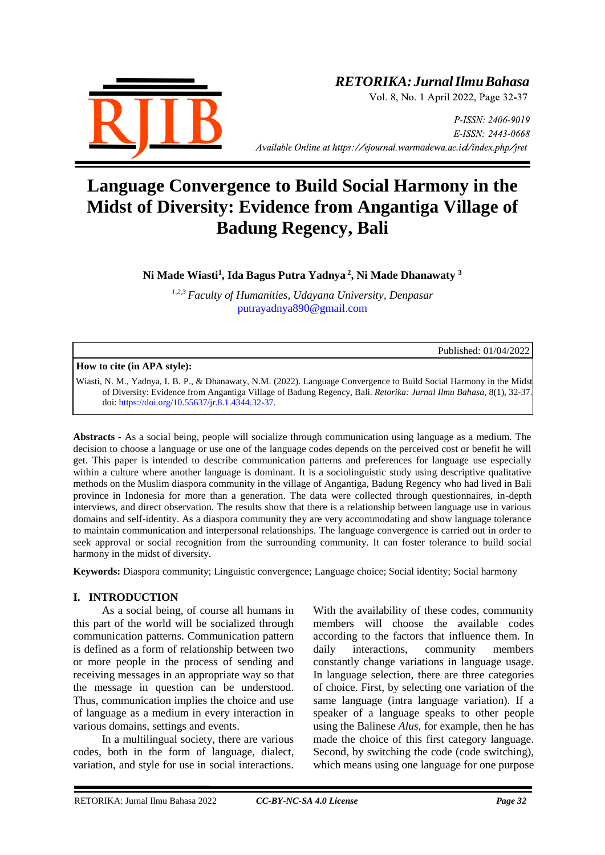

# *RETORIKA:JurnalIlmuBahasa*

Vol. 8, No. 1 April 2022, Page 32-37

P-ISSN: 2406-9019 E-ISSN: 2443-0668 *Available Online at https://ejournal.warmadewa.ac.id/index.php/jret* 

# **Language Convergence to Build Social Harmony in the Midst of Diversity: Evidence from Angantiga Village of Badung Regency, Bali**

**Ni Made Wiasti<sup>1</sup> , Ida Bagus Putra Yadnya <sup>2</sup> , Ni Made Dhanawaty <sup>3</sup>**

*1,2,3 Faculty of Humanities, Udayana University, Denpasar* [putrayadnya890@gmail.com](mailto:putrayadnya890@gmail.com)

Published: 01/04/2022

#### **How to cite (in APA style):**

Wiasti, N. M., Yadnya, I. B. P., & Dhanawaty, N.M. (2022). Language Convergence to Build Social Harmony in the Midst of Diversity: Evidence from Angantiga Village of Badung Regency, Bali. *Retorika: Jurnal Ilmu Bahasa*, 8(1), 32-37. doi:<https://doi.org/10.55637/jr.8.1.4344.32-37.>

**Abstracts -** As a social being, people will socialize through communication using language as a medium. The decision to choose a language or use one of the language codes depends on the perceived cost or benefit he will get. This paper is intended to describe communication patterns and preferences for language use especially within a culture where another language is dominant. It is a sociolinguistic study using descriptive qualitative methods on the Muslim diaspora community in the village of Angantiga, Badung Regency who had lived in Bali province in Indonesia for more than a generation. The data were collected through questionnaires, in-depth interviews, and direct observation. The results show that there is a relationship between language use in various domains and self-identity. As a diaspora community they are very accommodating and show language tolerance to maintain communication and interpersonal relationships. The language convergence is carried out in order to seek approval or social recognition from the surrounding community. It can foster tolerance to build social harmony in the midst of diversity.

**Keywords:** Diaspora community; Linguistic convergence; Language choice; Social identity; Social harmony

#### **I. INTRODUCTION**

As a social being, of course all humans in this part of the world will be socialized through communication patterns. Communication pattern is defined as a form of relationship between two or more people in the process of sending and receiving messages in an appropriate way so that the message in question can be understood. Thus, communication implies the choice and use of language as a medium in every interaction in various domains, settings and events.

In a multilingual society, there are various codes, both in the form of language, dialect, variation, and style for use in social interactions.

With the availability of these codes, community members will choose the available codes according to the factors that influence them. In daily interactions, community members constantly change variations in language usage. In language selection, there are three categories of choice. First, by selecting one variation of the same language (intra language variation). If a speaker of a language speaks to other people using the Balinese *Alus*, for example, then he has made the choice of this first category language. Second, by switching the code (code switching), which means using one language for one purpose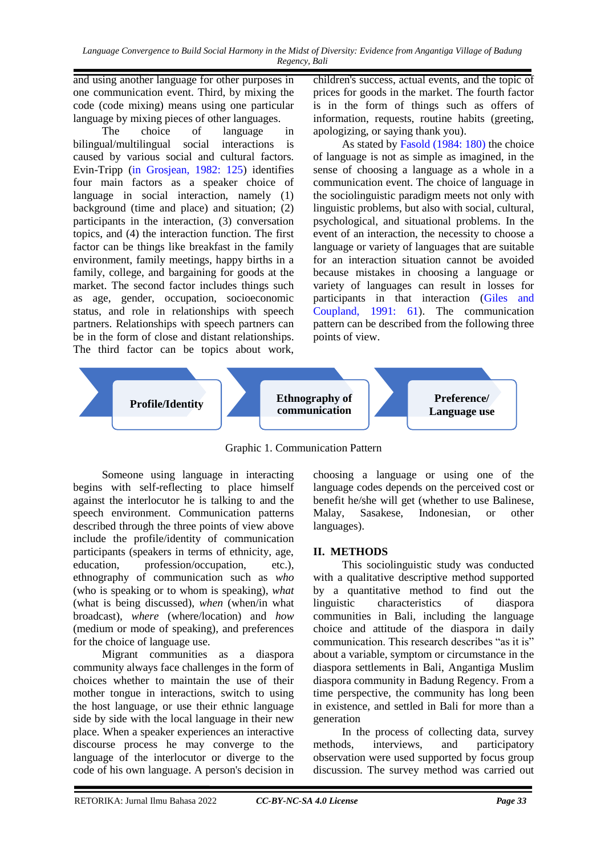*Language Convergence to Build Social Harmony in the Midst of Diversity: Evidence from Angantiga Village of Badung Regency, Bali*

and using another language for other purposes in one communication event. Third, by mixing the code (code mixing) means using one particular language by mixing pieces of other languages.

The choice of language in bilingual/multilingual social interactions is caused by various social and cultural factors. Evin-Tripp [\(in Grosjean, 1982: 125\)](#page-5-0) identifies four main factors as a speaker choice of language in social interaction, namely (1) background (time and place) and situation; (2) participants in the interaction, (3) conversation topics, and (4) the interaction function. The first factor can be things like breakfast in the family environment, family meetings, happy births in a family, college, and bargaining for goods at the market. The second factor includes things such as age, gender, occupation, socioeconomic status, and role in relationships with speech partners. Relationships with speech partners can be in the form of close and distant relationships. The third factor can be topics about work, children's success, actual events, and the topic of prices for goods in the market. The fourth factor is in the form of things such as offers of information, requests, routine habits (greeting, apologizing, or saying thank you).

As stated by [Fasold \(1984: 180\)](#page-5-0) the choice of language is not as simple as imagined, in the sense of choosing a language as a whole in a communication event. The choice of language in the sociolinguistic paradigm meets not only with linguistic problems, but also with social, cultural, psychological, and situational problems. In the event of an interaction, the necessity to choose a language or variety of languages that are suitable for an interaction situation cannot be avoided because mistakes in choosing a language or variety of languages can result in losses for participants in that interaction [\(Giles and](#page-5-0)  [Coupland, 1991: 61\)](#page-5-0). The communication pattern can be described from the following three points of view.



Graphic 1. Communication Pattern

Someone using language in interacting begins with self-reflecting to place himself against the interlocutor he is talking to and the speech environment. Communication patterns described through the three points of view above include the profile/identity of communication participants (speakers in terms of ethnicity, age, education, profession/occupation, etc.), ethnography of communication such as *who* (who is speaking or to whom is speaking), *what* (what is being discussed), *when* (when/in what broadcast), *where* (where/location) and *how* (medium or mode of speaking), and preferences for the choice of language use.

Migrant communities as a diaspora community always face challenges in the form of choices whether to maintain the use of their mother tongue in interactions, switch to using the host language, or use their ethnic language side by side with the local language in their new place. When a speaker experiences an interactive discourse process he may converge to the language of the interlocutor or diverge to the code of his own language. A person's decision in choosing a language or using one of the language codes depends on the perceived cost or benefit he/she will get (whether to use Balinese, Malay, Sasakese, Indonesian, or other languages).

#### **II. METHODS**

This sociolinguistic study was conducted with a qualitative descriptive method supported by a quantitative method to find out the linguistic characteristics of diaspora communities in Bali, including the language choice and attitude of the diaspora in daily communication. This research describes "as it is" about a variable, symptom or circumstance in the diaspora settlements in Bali, Angantiga Muslim diaspora community in Badung Regency. From a time perspective, the community has long been in existence, and settled in Bali for more than a generation

In the process of collecting data, survey methods, interviews, and participatory observation were used supported by focus group discussion. The survey method was carried out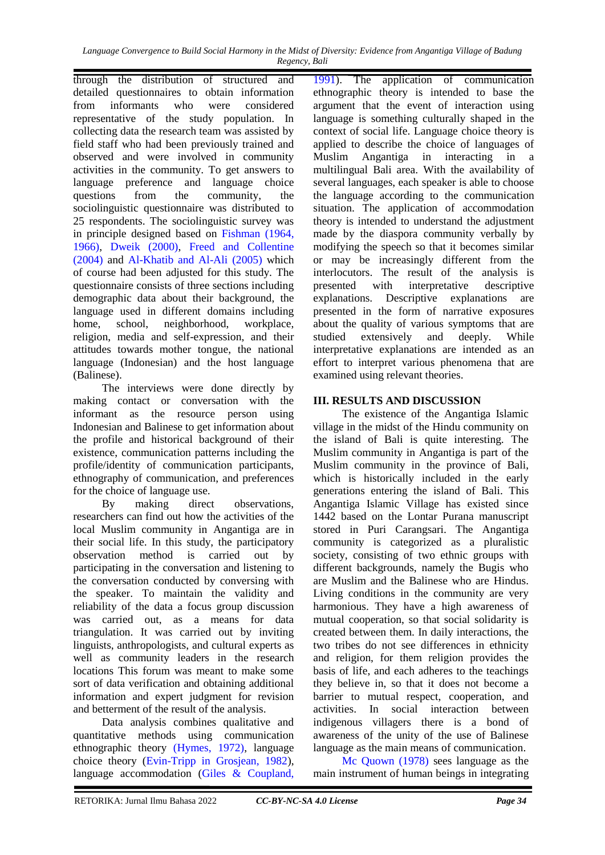through the distribution of structured and detailed questionnaires to obtain information from informants who were considered representative of the study population. In collecting data the research team was assisted by field staff who had been previously trained and observed and were involved in community activities in the community. To get answers to language preference and language choice questions from the community, the sociolinguistic questionnaire was distributed to 25 respondents. The sociolinguistic survey was in principle designed based on [Fishman \(1964,](#page-5-0)  [1966\), Dweik \(2000\),](#page-5-0) Freed and Collentine (2004) and [Al-Khatib and Al-Ali \(2005\)](#page-5-0) which of course had been adjusted for this study. The questionnaire consists of three sections including demographic data about their background, the language used in different domains including home, school, neighborhood, workplace, religion, media and self-expression, and their attitudes towards mother tongue, the national language (Indonesian) and the host language (Balinese).

The interviews were done directly by making contact or conversation with the informant as the resource person using Indonesian and Balinese to get information about the profile and historical background of their existence, communication patterns including the profile/identity of communication participants, ethnography of communication, and preferences for the choice of language use.

By making direct observations, researchers can find out how the activities of the local Muslim community in Angantiga are in their social life. In this study, the participatory observation method is carried out by participating in the conversation and listening to the conversation conducted by conversing with the speaker. To maintain the validity and reliability of the data a focus group discussion was carried out, as a means for data triangulation. It was carried out by inviting linguists, anthropologists, and cultural experts as well as community leaders in the research locations This forum was meant to make some sort of data verification and obtaining additional information and expert judgment for revision and betterment of the result of the analysis.

Data analysis combines qualitative and quantitative methods using communication ethnographic theory [\(Hymes, 1972\),](#page-5-0) language choice theory [\(Evin-Tripp in Grosjean, 1982\)](#page-5-0), language accommodation [\(Giles & Coupland,](#page-5-0) 

[1991\)](#page-5-0). The application of communication ethnographic theory is intended to base the argument that the event of interaction using language is something culturally shaped in the context of social life. Language choice theory is applied to describe the choice of languages of Muslim Angantiga in interacting in a multilingual Bali area. With the availability of several languages, each speaker is able to choose the language according to the communication situation. The application of accommodation theory is intended to understand the adjustment made by the diaspora community verbally by modifying the speech so that it becomes similar or may be increasingly different from the interlocutors. The result of the analysis is presented with interpretative descriptive explanations. Descriptive explanations are presented in the form of narrative exposures about the quality of various symptoms that are studied extensively and deeply. While interpretative explanations are intended as an effort to interpret various phenomena that are examined using relevant theories.

### **III. RESULTS AND DISCUSSION**

The existence of the Angantiga Islamic village in the midst of the Hindu community on the island of Bali is quite interesting. The Muslim community in Angantiga is part of the Muslim community in the province of Bali, which is historically included in the early generations entering the island of Bali. This Angantiga Islamic Village has existed since 1442 based on the Lontar Purana manuscript stored in Puri Carangsari. The Angantiga community is categorized as a pluralistic society, consisting of two ethnic groups with different backgrounds, namely the Bugis who are Muslim and the Balinese who are Hindus. Living conditions in the community are very harmonious. They have a high awareness of mutual cooperation, so that social solidarity is created between them. In daily interactions, the two tribes do not see differences in ethnicity and religion, for them religion provides the basis of life, and each adheres to the teachings they believe in, so that it does not become a barrier to mutual respect, cooperation, and activities. In social interaction between indigenous villagers there is a bond of awareness of the unity of the use of Balinese language as the main means of communication.

[Mc Quown \(1978\)](#page-5-0) sees language as the main instrument of human beings in integrating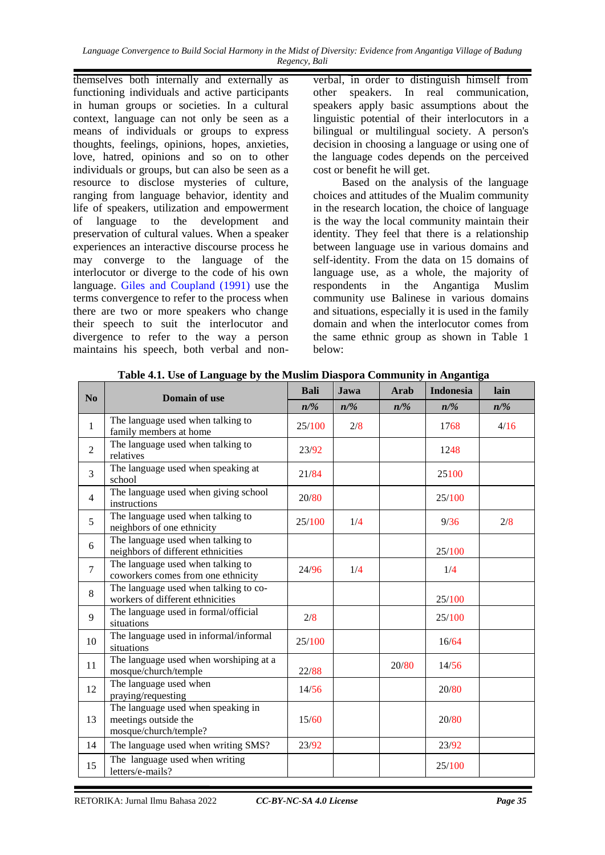themselves both internally and externally as functioning individuals and active participants in human groups or societies. In a cultural context, language can not only be seen as a means of individuals or groups to express thoughts, feelings, opinions, hopes, anxieties, love, hatred, opinions and so on to other individuals or groups, but can also be seen as a resource to disclose mysteries of culture, ranging from language behavior, identity and life of speakers, utilization and empowerment of language to the development and preservation of cultural values. When a speaker experiences an interactive discourse process he may converge to the language of the interlocutor or diverge to the code of his own language. [Giles and Coupland \(1991\)](#page-5-0) use the terms convergence to refer to the process when there are two or more speakers who change their speech to suit the interlocutor and divergence to refer to the way a person maintains his speech, both verbal and non-

verbal, in order to distinguish himself from other speakers. In real communication, speakers apply basic assumptions about the linguistic potential of their interlocutors in a bilingual or multilingual society. A person's decision in choosing a language or using one of the language codes depends on the perceived cost or benefit he will get.

Based on the analysis of the language choices and attitudes of the Mualim community in the research location, the choice of language is the way the local community maintain their identity. They feel that there is a relationship between language use in various domains and self-identity. From the data on 15 domains of language use, as a whole, the majority of respondents in the Angantiga Muslim community use Balinese in various domains and situations, especially it is used in the family domain and when the interlocutor comes from the same ethnic group as shown in Table 1 below:

| N <sub>0</sub> | <b>Domain of use</b>                                                                | <b>Bali</b> | Jawa   | <b>Arab</b> | <b>Indonesia</b> | lain   |
|----------------|-------------------------------------------------------------------------------------|-------------|--------|-------------|------------------|--------|
|                |                                                                                     | $n/\%$      | $n/\%$ | $n/\%$      | $n/\%$           | $n/\%$ |
| 1              | The language used when talking to<br>family members at home                         | 25/100      | 2/8    |             | 1768             | 4/16   |
| $\overline{2}$ | The language used when talking to<br>relatives                                      | 23/92       |        |             | 1248             |        |
| $\overline{3}$ | The language used when speaking at<br>school                                        | 21/84       |        |             | 25100            |        |
| 4              | The language used when giving school<br>instructions                                | 20/80       |        |             | 25/100           |        |
| 5              | The language used when talking to<br>neighbors of one ethnicity                     | 25/100      | 1/4    |             | 9/36             | 2/8    |
| 6              | The language used when talking to<br>neighbors of different ethnicities             |             |        |             | 25/100           |        |
| $\overline{7}$ | The language used when talking to<br>coworkers comes from one ethnicity             | 24/96       | 1/4    |             | 1/4              |        |
| 8              | The language used when talking to co-<br>workers of different ethnicities           |             |        |             | 25/100           |        |
| 9              | The language used in formal/official<br>situations                                  | 2/8         |        |             | 25/100           |        |
| 10             | The language used in informal/informal<br>situations                                | 25/100      |        |             | 16/64            |        |
| 11             | The language used when worshiping at a<br>mosque/church/temple                      | 22/88       |        | 20/80       | 14/56            |        |
| 12             | The language used when<br>praying/requesting                                        | 14/56       |        |             | 20/80            |        |
| 13             | The language used when speaking in<br>meetings outside the<br>mosque/church/temple? | 15/60       |        |             | 20/80            |        |
| 14             | The language used when writing SMS?                                                 | 23/92       |        |             | 23/92            |        |
| 15             | The language used when writing<br>letters/e-mails?                                  |             |        |             | 25/100           |        |

**Table 4.1. Use of Language by the Muslim Diaspora Community in Angantiga**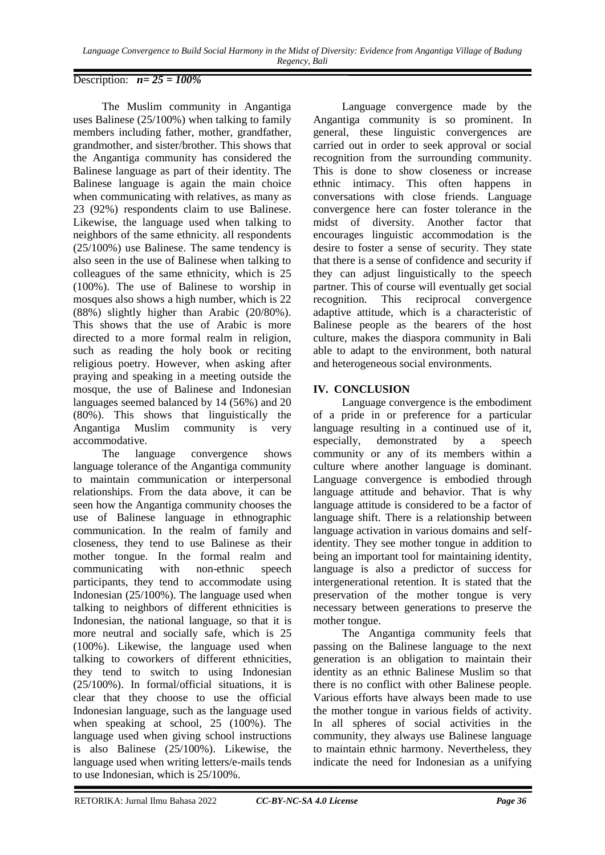# Description: *n= 25 = 100%*

The Muslim community in Angantiga uses Balinese (25/100%) when talking to family members including father, mother, grandfather, grandmother, and sister/brother. This shows that the Angantiga community has considered the Balinese language as part of their identity. The Balinese language is again the main choice when communicating with relatives, as many as 23 (92%) respondents claim to use Balinese. Likewise, the language used when talking to neighbors of the same ethnicity. all respondents (25/100%) use Balinese. The same tendency is also seen in the use of Balinese when talking to colleagues of the same ethnicity, which is 25 (100%). The use of Balinese to worship in mosques also shows a high number, which is 22 (88%) slightly higher than Arabic (20/80%). This shows that the use of Arabic is more directed to a more formal realm in religion, such as reading the holy book or reciting religious poetry. However, when asking after praying and speaking in a meeting outside the mosque, the use of Balinese and Indonesian languages seemed balanced by 14 (56%) and 20 (80%). This shows that linguistically the Angantiga Muslim community is very accommodative.

The language convergence shows language tolerance of the Angantiga community to maintain communication or interpersonal relationships. From the data above, it can be seen how the Angantiga community chooses the use of Balinese language in ethnographic communication. In the realm of family and closeness, they tend to use Balinese as their mother tongue. In the formal realm and communicating with non-ethnic speech participants, they tend to accommodate using Indonesian (25/100%). The language used when talking to neighbors of different ethnicities is Indonesian, the national language, so that it is more neutral and socially safe, which is 25 (100%). Likewise, the language used when talking to coworkers of different ethnicities, they tend to switch to using Indonesian (25/100%). In formal/official situations, it is clear that they choose to use the official Indonesian language, such as the language used when speaking at school, 25 (100%). The language used when giving school instructions is also Balinese (25/100%). Likewise, the language used when writing letters/e-mails tends to use Indonesian, which is 25/100%.

Language convergence made by the Angantiga community is so prominent. In general, these linguistic convergences are carried out in order to seek approval or social recognition from the surrounding community. This is done to show closeness or increase ethnic intimacy. This often happens in conversations with close friends. Language convergence here can foster tolerance in the midst of diversity. Another factor that encourages linguistic accommodation is the desire to foster a sense of security. They state that there is a sense of confidence and security if they can adjust linguistically to the speech partner. This of course will eventually get social recognition. This reciprocal convergence adaptive attitude, which is a characteristic of Balinese people as the bearers of the host culture, makes the diaspora community in Bali able to adapt to the environment, both natural and heterogeneous social environments.

# **IV. CONCLUSION**

Language convergence is the embodiment of a pride in or preference for a particular language resulting in a continued use of it, especially, demonstrated by a [speech](https://dictionary.apa.org/speech-community)  [community](https://dictionary.apa.org/speech-community) or any of its members within a culture where another language is dominant. Language convergence is embodied through language attitude and behavior. That is why language attitude is considered to be a factor of language shift. There is a relationship between language activation in various domains and selfidentity. They see mother tongue in addition to being an important tool for maintaining identity, language is also a predictor of success for intergenerational retention. It is stated that the preservation of the mother tongue is very necessary between generations to preserve the mother tongue.

The Angantiga community feels that passing on the Balinese language to the next generation is an obligation to maintain their identity as an ethnic Balinese Muslim so that there is no conflict with other Balinese people. Various efforts have always been made to use the mother tongue in various fields of activity. In all spheres of social activities in the community, they always use Balinese language to maintain ethnic harmony. Nevertheless, they indicate the need for Indonesian as a unifying